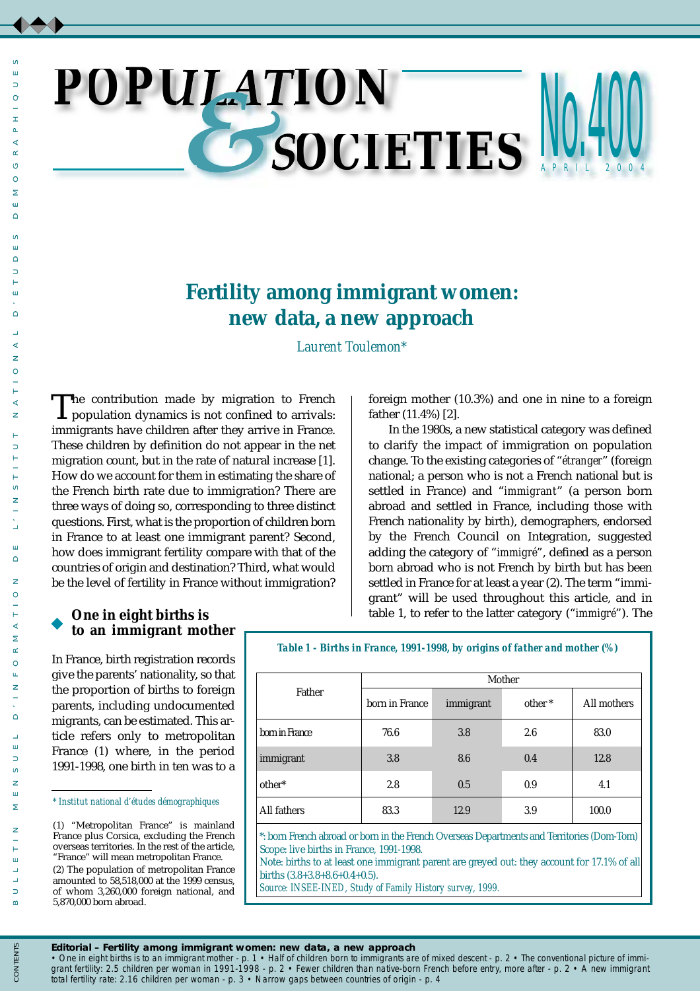## *POPU ION SOCIETIES* NU. 4 **U.400** 004

# **Fertility among immigrant women: new data, a new approach**

*Laurent Toulemon\**

The contribution made by migration to French<br>population dynamics is not confined to arrivals: immigrants have children after they arrive in France. These children by definition do not appear in the net migration count, but in the rate of natural increase [1]. How do we account for them in estimating the share of the French birth rate due to immigration? There are three ways of doing so, corresponding to three distinct questions. First, what is the proportion of children born in France to at least one immigrant parent? Second, how does immigrant fertility compare with that of the countries of origin and destination? Third, what would be the level of fertility in France without immigration?

foreign mother (10.3%) and one in nine to a foreign father (11.4%) [2].

In the 1980s, a new statistical category was defined to clarify the impact of immigration on population change. To the existing categories of "*étranger*" (foreign national; a person who is not a French national but is settled in France) and "*immigrant*" (a person born abroad and settled in France, including those with French nationality by birth), demographers, endorsed by the French Council on Integration, suggested adding the category of "*immigré*", defined as a person born abroad who is not French by birth but has been settled in France for at least a year (2). The term "immigrant" will be used throughout this article, and in table 1, to refer to the latter category ("*immigré*"). The

## **One in eight births is to an immigrant mother**

In France, birth registration records give the parents' nationality, so that the proportion of births to foreign parents, including undocumented migrants, can be estimated. This article refers only to metropolitan France (1) where, in the period 1991-1998, one birth in ten was to a

*\* Institut national d'études démographiques*

*Table 1 - Births in France, 1991-1998, by origins of father and mother (%)*

| Father                                                                                              |                | Mother    |                    |             |  |  |  |
|-----------------------------------------------------------------------------------------------------|----------------|-----------|--------------------|-------------|--|--|--|
|                                                                                                     | born in France | immigrant | other <sup>*</sup> | All mothers |  |  |  |
| born in France                                                                                      | 76.6           | 3.8       | 2.6                | 83.0        |  |  |  |
| immigrant                                                                                           | 3.8            | 8.6       | 0.4                | 12.8        |  |  |  |
| other*                                                                                              | 2.8            | 0.5       | 0.9                | 4.1         |  |  |  |
| All fathers                                                                                         | 83.3           | 12.9      | 3.9                | 100.0       |  |  |  |
| * Joanne Europele obaccord on bound in the Current Oxygueson Departments and Temptentes (Dame Tone) |                |           |                    |             |  |  |  |

\*: born French abroad or born in the French Overseas Departments and Territories (Dom-Tom) Scope: live births in France, 1991-1998.

Note: births to at least one immigrant parent are greyed out: they account for 17.1% of all births (3.8+3.8+8.6+0.4+0.5).

*Source: INSEE-INED, Study of Family History survey, 1999.*

 $\circ$ Ē.  $\Rightarrow$ 

*Editorial* **– Fertility among immigrant women: new data, a new approach**

• One in eight births is to an immigrant mother - p. 1 • Half of children born to immigrants are of mixed descent - p. 2 • The conventional picture of immi*grant fertility: 2.5 children per woman in 1991-1998 - p. 2 • Fewer children than native-born French before entry, more after - p. 2 • A new immigrant total fertility rate: 2.16 children per woman - p. 3 • Narrow gaps between countries of origin - p. 4*

<sup>(1) &</sup>quot;Metropolitan France" is mainland France plus Corsica, excluding the French overseas territories. In the rest of the article, "France" will mean metropolitan France. (2) The population of metropolitan France amounted to 58,518,000 at the 1999 census, of whom 3,260,000 foreign national, and 5,870,000 born abroad.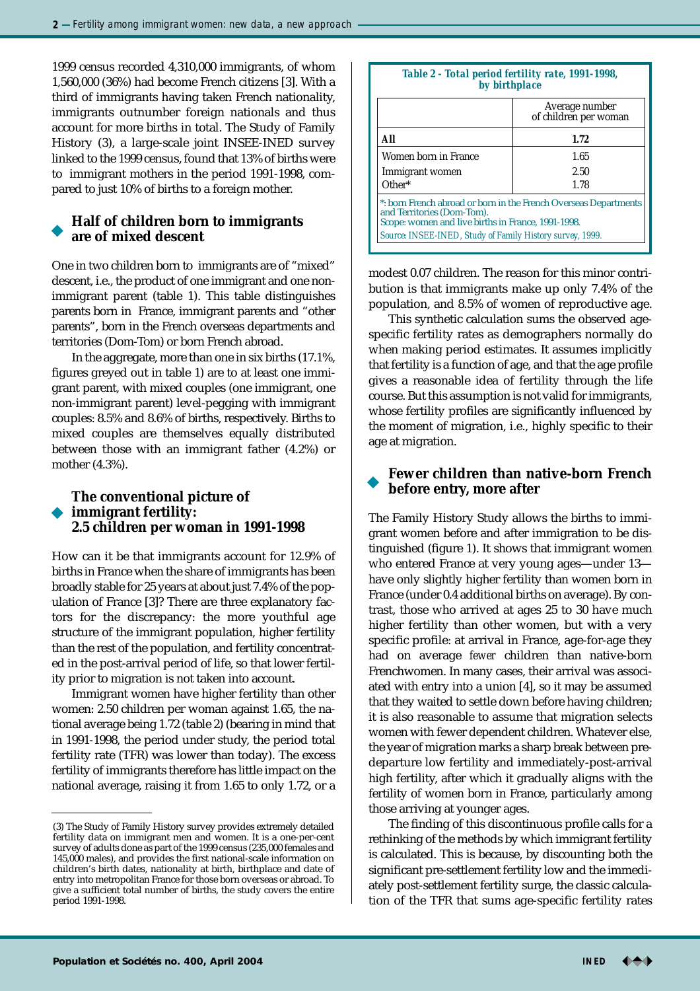1999 census recorded 4,310,000 immigrants, of whom 1,560,000 (36%) had become French citizens [3]. With a third of immigrants having taken French nationality, immigrants outnumber foreign nationals and thus account for more births in total. The Study of Family History (3), a large-scale joint INSEE-INED survey linked to the 1999 census, found that 13% of births were to immigrant mothers in the period 1991-1998, compared to just 10% of births to a foreign mother.

## **Half of children born to immigrants are of mixed descent**

One in two children born to immigrants are of "mixed" descent, i.e., the product of one immigrant and one nonimmigrant parent (table 1). This table distinguishes parents born in France, immigrant parents and "other parents", born in the French overseas departments and territories (Dom-Tom) or born French abroad.

In the aggregate, more than one in six births (17.1%, figures greyed out in table 1) are to at least one immigrant parent, with mixed couples (one immigrant, one non-immigrant parent) level-pegging with immigrant couples: 8.5% and 8.6% of births, respectively. Births to mixed couples are themselves equally distributed between those with an immigrant father (4.2%) or mother (4.3%).

## **The conventional picture of immigrant fertility: 2.5 children per woman in 1991-1998**

How can it be that immigrants account for 12.9% of births in France when the share of immigrants has been broadly stable for 25 years at about just 7.4% of the population of France [3]? There are three explanatory factors for the discrepancy: the more youthful age structure of the immigrant population, higher fertility than the rest of the population, and fertility concentrated in the post-arrival period of life, so that lower fertility prior to migration is not taken into account.

Immigrant women have higher fertility than other women: 2.50 children per woman against 1.65, the national average being 1.72 (table 2) (bearing in mind that in 1991-1998, the period under study, the period total fertility rate (TFR) was lower than today). The excess fertility of immigrants therefore has little impact on the national average, raising it from 1.65 to only 1.72, or a

#### *Table 2 - Total period fertility rate, 1991-1998, by birthplace*

|                                                                                                                                                      | Average number<br>of children per woman |  |  |  |  |
|------------------------------------------------------------------------------------------------------------------------------------------------------|-----------------------------------------|--|--|--|--|
| All                                                                                                                                                  | 1.72                                    |  |  |  |  |
| Women born in France                                                                                                                                 | 1.65                                    |  |  |  |  |
| Immigrant women                                                                                                                                      | 2.50                                    |  |  |  |  |
| Other*                                                                                                                                               | 1.78                                    |  |  |  |  |
| *: born French abroad or born in the French Overseas Departments<br>and Territories (Dom-Tom).<br>Scope: women and live births in France, 1991-1998. |                                         |  |  |  |  |
| Source: INSEE-INED, Study of Family History survey, 1999.                                                                                            |                                         |  |  |  |  |

modest 0.07 children. The reason for this minor contribution is that immigrants make up only 7.4% of the population, and 8.5% of women of reproductive age.

This synthetic calculation sums the observed agespecific fertility rates as demographers normally do when making period estimates. It assumes implicitly that fertility is a function of age, and that the age profile gives a reasonable idea of fertility through the life course. But this assumption is not valid for immigrants, whose fertility profiles are significantly influenced by the moment of migration, i.e., highly specific to their age at migration.

## **Fewer children than native-born French before entry, more after**

The Family History Study allows the births to immigrant women before and after immigration to be distinguished (figure 1). It shows that immigrant women who entered France at very young ages—under 13 have only slightly higher fertility than women born in France (under 0.4 additional births on average). By contrast, those who arrived at ages 25 to 30 have much higher fertility than other women, but with a very specific profile: at arrival in France, age-for-age they had on average *fewer* children than native-born Frenchwomen. In many cases, their arrival was associated with entry into a union [4], so it may be assumed that they waited to settle down before having children; it is also reasonable to assume that migration selects women with fewer dependent children. Whatever else, the year of migration marks a sharp break between predeparture low fertility and immediately-post-arrival high fertility, after which it gradually aligns with the fertility of women born in France, particularly among those arriving at younger ages.

The finding of this discontinuous profile calls for a rethinking of the methods by which immigrant fertility is calculated. This is because, by discounting both the significant pre-settlement fertility low and the immediately post-settlement fertility surge, the classic calculation of the TFR that sums age-specific fertility rates

<sup>(3)</sup> The Study of Family History survey provides extremely detailed fertility data on immigrant men and women. It is a one-per-cent survey of adults done as part of the 1999 census (235,000 females and 145,000 males), and provides the first national-scale information on children's birth dates, nationality at birth, birthplace and date of entry into metropolitan France for those born overseas or abroad. To give a sufficient total number of births, the study covers the entire period 1991-1998.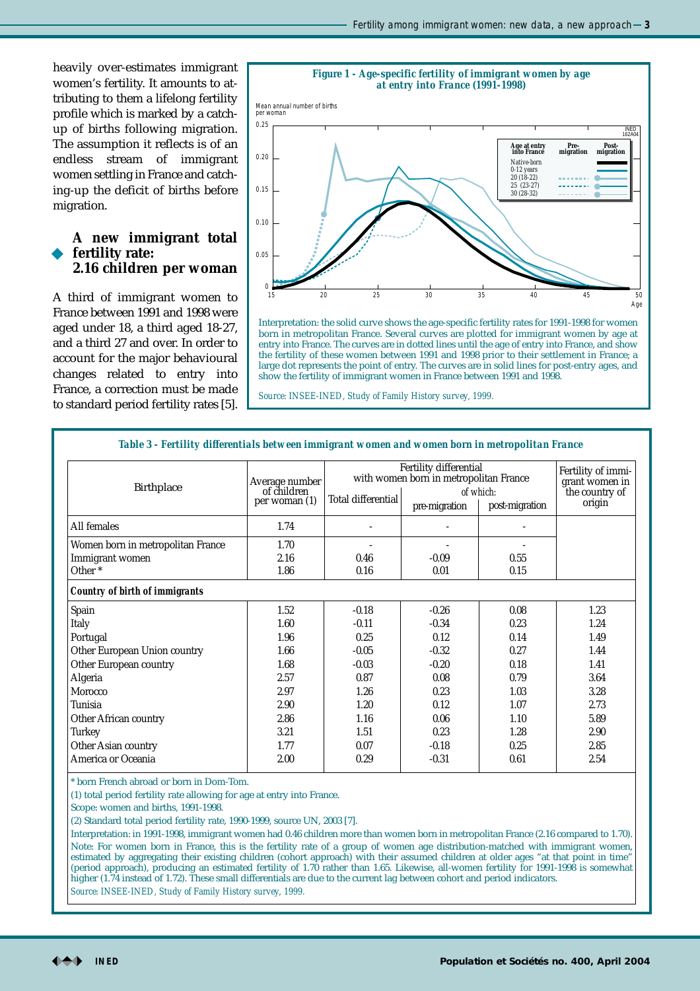heavily over-estimates immigrant women's fertility. It amounts to attributing to them a lifelong fertility profile which is marked by a catchup of births following migration. The assumption it reflects is of an endless stream of immigrant women settling in France and catching-up the deficit of births before migration.

### **A new immigrant total fertility rate: 2.16 children per woman**

A third of immigrant women to France between 1991 and 1998 were aged under 18, a third aged 18-27, and a third 27 and over. In order to account for the major behavioural changes related to entry into France, a correction must be made to standard period fertility rates [5].



Interpretation: the solid curve shows the age-specific fertility rates for 1991-1998 for women born in metropolitan France. Several curves are plotted for immigrant women by age at entry into France. The curves are in dotted lines until the age of entry into France, and show the fertility of these women between 1991 and 1998 prior to their settlement in France; a large dot represents the point of entry. The curves are in solid lines for post-entry ages, and show the fertility of immigrant women in France between 1991 and 1998.

*Source: INSEE-INED, Study of Family History survey, 1999.*

| <b>Birthplace</b>                     | Average number<br>of children<br>per woman (1) | Fertility differential<br>with women born in metropolitan France |               |                             | Fertility of immi-<br>grant women in |
|---------------------------------------|------------------------------------------------|------------------------------------------------------------------|---------------|-----------------------------|--------------------------------------|
|                                       |                                                | Total differential                                               | pre-migration | of which:<br>post-migration | the country of<br>origin             |
| All females                           | 1.74                                           |                                                                  |               |                             |                                      |
| Women born in metropolitan France     | 1.70                                           |                                                                  |               |                             |                                      |
| Immigrant women                       | 2.16                                           | 0.46                                                             | $-0.09$       | 0.55                        |                                      |
| Other <sup>*</sup>                    | 1.86                                           | 0.16                                                             | 0.01          | 0.15                        |                                      |
| <b>Country of birth of immigrants</b> |                                                |                                                                  |               |                             |                                      |
| Spain                                 | 1.52                                           | $-0.18$                                                          | $-0.26$       | 0.08                        | 1.23                                 |
| Italy                                 | 1.60                                           | $-0.11$                                                          | $-0.34$       | 0.23                        | 1.24                                 |
| Portugal                              | 1.96                                           | 0.25                                                             | 0.12          | 0.14                        | 1.49                                 |
| Other European Union country          | 1.66                                           | $-0.05$                                                          | $-0.32$       | 0.27                        | 1.44                                 |
| Other European country                | 1.68                                           | $-0.03$                                                          | $-0.20$       | 0.18                        | 1.41                                 |
| Algeria                               | 2.57                                           | 0.87                                                             | 0.08          | 0.79                        | 3.64                                 |
| Morocco                               | 2.97                                           | 1.26                                                             | 0.23          | 1.03                        | 3.28                                 |
| Tunisia                               | 2.90                                           | 1.20                                                             | 0.12          | 1.07                        | 2.73                                 |
| Other African country                 | 2.86                                           | 1.16                                                             | 0.06          | 1.10                        | 5.89                                 |
| Turkey                                | 3.21                                           | 1.51                                                             | 0.23          | 1.28                        | 2.90                                 |
| Other Asian country                   | 1.77                                           | 0.07                                                             | $-0.18$       | 0.25                        | 2.85                                 |
| America or Oceania                    | 2.00                                           | 0.29                                                             | $-0.31$       | 0.61                        | 2.54                                 |

*Table 3 - Fertility differentials between immigrant women and women born in metropolitan France*

\* born French abroad or born in Dom-Tom.

(1) total period fertility rate allowing for age at entry into France.

Scope: women and births, 1991-1998.

(2) Standard total period fertility rate, 1990-1999, source UN, 2003 [7].

Interpretation: in 1991-1998, immigrant women had 0.46 children more than women born in metropolitan France (2.16 compared to 1.70). Note: For women born in France, this is the fertility rate of a group of women age distribution-matched with immigrant women, estimated by aggregating their existing children (cohort approach) with their assumed children at older ages "at that point in time" (period approach), producing an estimated fertility of 1.70 rather than 1.65. Likewise, all-women fertility for 1991-1998 is somewhat higher (1.74 instead of 1.72). These small differentials are due to the current lag between cohort and period indicators.

*Source: INSEE-INED, Study of Family History survey, 1999.*